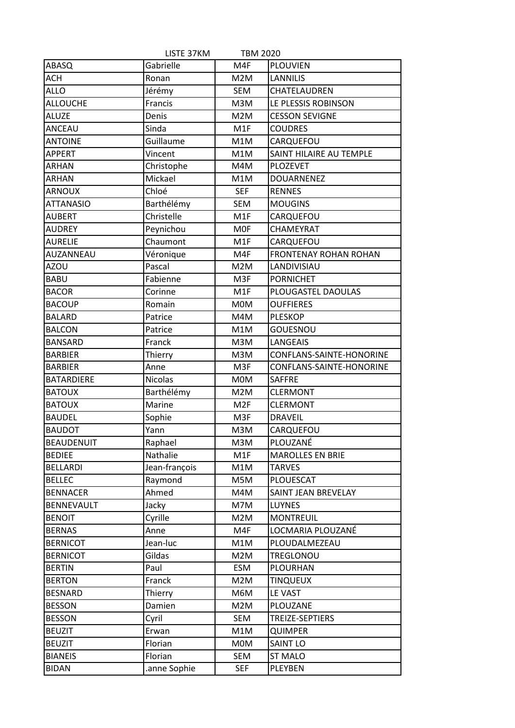|                   | LISTE 37KM     | <b>TBM 2020</b>  |                              |
|-------------------|----------------|------------------|------------------------------|
| ABASQ             | Gabrielle      | M4F              | <b>PLOUVIEN</b>              |
| <b>ACH</b>        | Ronan          | M2M              | <b>LANNILIS</b>              |
| <b>ALLO</b>       | Jérémy         | SEM              | CHATELAUDREN                 |
| <b>ALLOUCHE</b>   | Francis        | M3M              | LE PLESSIS ROBINSON          |
| <b>ALUZE</b>      | Denis          | M2M              | <b>CESSON SEVIGNE</b>        |
| <b>ANCEAU</b>     | Sinda          | M1F              | <b>COUDRES</b>               |
| <b>ANTOINE</b>    | Guillaume      | M1M              | CARQUEFOU                    |
| <b>APPERT</b>     | Vincent        | M1M              | SAINT HILAIRE AU TEMPLE      |
| <b>ARHAN</b>      | Christophe     | M4M              | PLOZEVET                     |
| <b>ARHAN</b>      | Mickael        | M1M              | <b>DOUARNENEZ</b>            |
| <b>ARNOUX</b>     | Chloé          | <b>SEF</b>       | <b>RENNES</b>                |
| <b>ATTANASIO</b>  | Barthélémy     | <b>SEM</b>       | <b>MOUGINS</b>               |
| <b>AUBERT</b>     | Christelle     | M <sub>1</sub> F | CARQUEFOU                    |
| <b>AUDREY</b>     | Peynichou      | <b>MOF</b>       | CHAMEYRAT                    |
| <b>AURELIE</b>    | Chaumont       | M1F              | CARQUEFOU                    |
| AUZANNEAU         | Véronique      | M4F              | <b>FRONTENAY ROHAN ROHAN</b> |
| <b>AZOU</b>       | Pascal         | M2M              | LANDIVISIAU                  |
| <b>BABU</b>       | Fabienne       | M <sub>3F</sub>  | <b>PORNICHET</b>             |
| <b>BACOR</b>      | Corinne        | M1F              | PLOUGASTEL DAOULAS           |
| <b>BACOUP</b>     | Romain         | <b>MOM</b>       | <b>OUFFIERES</b>             |
| <b>BALARD</b>     | Patrice        | M4M              | <b>PLESKOP</b>               |
| <b>BALCON</b>     | Patrice        | M1M              | <b>GOUESNOU</b>              |
| <b>BANSARD</b>    | Franck         | M3M              | <b>LANGEAIS</b>              |
| <b>BARBIER</b>    | Thierry        | M3M              | CONFLANS-SAINTE-HONORINE     |
| <b>BARBIER</b>    | Anne           | M3F              | CONFLANS-SAINTE-HONORINE     |
| <b>BATARDIERE</b> | <b>Nicolas</b> | <b>MOM</b>       | <b>SAFFRE</b>                |
| <b>BATOUX</b>     | Barthélémy     | M2M              | <b>CLERMONT</b>              |
| <b>BATOUX</b>     | Marine         | M <sub>2F</sub>  | <b>CLERMONT</b>              |
| <b>BAUDEL</b>     | Sophie         | M3F              | <b>DRAVEIL</b>               |
| <b>BAUDOT</b>     | Yann           | M3M              | CARQUEFOU                    |
| <b>BEAUDENUIT</b> | Raphael        | M3M              | PLOUZANÉ                     |
| <b>BEDIEE</b>     | Nathalie       | M1F              | <b>MAROLLES EN BRIE</b>      |
| <b>BELLARDI</b>   | Jean-françois  | M1M              | <b>TARVES</b>                |
| <b>BELLEC</b>     | Raymond        | M5M              | PLOUESCAT                    |
| <b>BENNACER</b>   | Ahmed          | M4M              | SAINT JEAN BREVELAY          |
| <b>BENNEVAULT</b> | Jacky          | M7M              | <b>LUYNES</b>                |
| <b>BENOIT</b>     | Cyrille        | M2M              | <b>MONTREUIL</b>             |
| <b>BERNAS</b>     | Anne           | M4F              | LOCMARIA PLOUZANÉ            |
| <b>BERNICOT</b>   | Jean-luc       | M1M              | PLOUDALMEZEAU                |
| <b>BERNICOT</b>   | Gildas         | M2M              | TREGLONOU                    |
| <b>BERTIN</b>     | Paul           | <b>ESM</b>       | <b>PLOURHAN</b>              |
| <b>BERTON</b>     | Franck         | M2M              | <b>TINQUEUX</b>              |
| <b>BESNARD</b>    | Thierry        | M6M              | LE VAST                      |
| <b>BESSON</b>     | Damien         | M2M              | PLOUZANE                     |
| <b>BESSON</b>     | Cyril          | <b>SEM</b>       | TREIZE-SEPTIERS              |
| <b>BEUZIT</b>     | Erwan          | M1M              | <b>QUIMPER</b>               |
| <b>BEUZIT</b>     | Florian        | <b>MOM</b>       | <b>SAINT LO</b>              |
| <b>BIANEIS</b>    | Florian        | <b>SEM</b>       | <b>ST MALO</b>               |
| <b>BIDAN</b>      | anne Sophie.   | <b>SEF</b>       | PLEYBEN                      |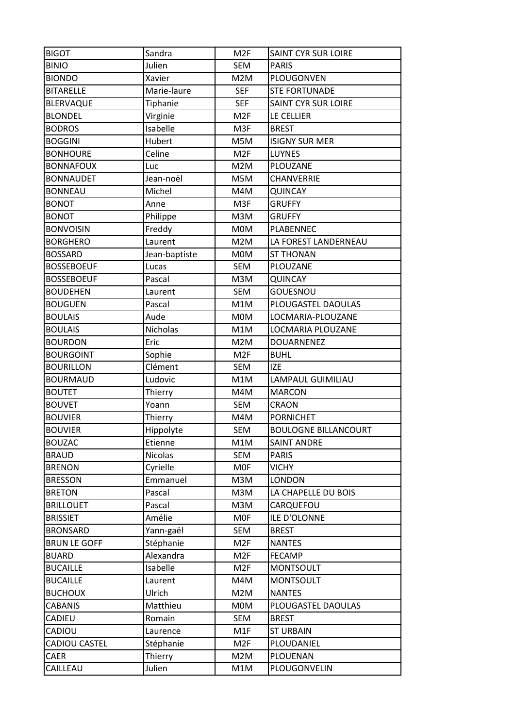| <b>BIGOT</b>            | Sandra            | M <sub>2F</sub>  | SAINT CYR SUR LOIRE         |
|-------------------------|-------------------|------------------|-----------------------------|
| <b>BINIO</b>            | Julien            | <b>SEM</b>       | <b>PARIS</b>                |
| <b>BIONDO</b>           | Xavier            | M2M              | PLOUGONVEN                  |
| <b>BITARELLE</b>        | Marie-laure       | <b>SEF</b>       | <b>STE FORTUNADE</b>        |
| <b>BLERVAQUE</b>        | Tiphanie          | <b>SEF</b>       | <b>SAINT CYR SUR LOIRE</b>  |
| <b>BLONDEL</b>          | Virginie          | M <sub>2F</sub>  | LE CELLIER                  |
| <b>BODROS</b>           | Isabelle          | M3F              | <b>BREST</b>                |
| <b>BOGGINI</b>          | Hubert            | M5M              | <b>ISIGNY SUR MER</b>       |
| <b>BONHOURE</b>         | Celine            | M <sub>2F</sub>  | <b>LUYNES</b>               |
| <b>BONNAFOUX</b>        | Luc               | M2M              | PLOUZANE                    |
| <b>BONNAUDET</b>        | Jean-noël         | M5M              | <b>CHANVERRIE</b>           |
| <b>BONNEAU</b>          | Michel            | M4M              | <b>QUINCAY</b>              |
| <b>BONOT</b>            | Anne              | M3F              | <b>GRUFFY</b>               |
| <b>BONOT</b>            | Philippe          | M3M              | <b>GRUFFY</b>               |
| <b>BONVOISIN</b>        | Freddy            | <b>MOM</b>       | PLABENNEC                   |
| <b>BORGHERO</b>         | Laurent           | M2M              | LA FOREST LANDERNEAU        |
| <b>BOSSARD</b>          | Jean-baptiste     | <b>MOM</b>       | <b>ST THONAN</b>            |
| <b>BOSSEBOEUF</b>       | Lucas             | <b>SEM</b>       | PLOUZANE                    |
| <b>BOSSEBOEUF</b>       | Pascal            | M3M              | <b>QUINCAY</b>              |
| <b>BOUDEHEN</b>         | Laurent           | <b>SEM</b>       | <b>GOUESNOU</b>             |
| <b>BOUGUEN</b>          | Pascal            | M1M              | PLOUGASTEL DAOULAS          |
| <b>BOULAIS</b>          | Aude              | <b>MOM</b>       | LOCMARIA-PLOUZANE           |
| <b>BOULAIS</b>          | Nicholas          | M1M              | LOCMARIA PLOUZANE           |
| <b>BOURDON</b>          | Eric              | M2M              | <b>DOUARNENEZ</b>           |
| <b>BOURGOINT</b>        | Sophie            | M <sub>2F</sub>  | <b>BUHL</b>                 |
|                         |                   |                  |                             |
| <b>BOURILLON</b>        | Clément           | <b>SEM</b>       | <b>IZE</b>                  |
| <b>BOURMAUD</b>         | Ludovic           | M1M              | LAMPAUL GUIMILIAU           |
| <b>BOUTET</b>           | Thierry           | M4M              | <b>MARCON</b>               |
| <b>BOUVET</b>           | Yoann             | <b>SEM</b>       | <b>CRAON</b>                |
| <b>BOUVIER</b>          | Thierry           | M4M              | <b>PORNICHET</b>            |
| <b>BOUVIER</b>          | Hippolyte         | <b>SEM</b>       | <b>BOULOGNE BILLANCOURT</b> |
| <b>BOUZAC</b>           | Etienne           | M1M              | <b>SAINT ANDRE</b>          |
| <b>BRAUD</b>            | Nicolas           | <b>SEM</b>       | <b>PARIS</b>                |
| <b>BRENON</b>           | Cyrielle          | <b>MOF</b>       | <b>VICHY</b>                |
| <b>BRESSON</b>          | Emmanuel          | M3M              | <b>LONDON</b>               |
| <b>BRETON</b>           | Pascal            | M3M              | LA CHAPELLE DU BOIS         |
| <b>BRILLOUET</b>        | Pascal            | M3M              | CARQUEFOU                   |
| <b>BRISSIET</b>         | Amélie            | <b>MOF</b>       | <b>ILE D'OLONNE</b>         |
| <b>BRONSARD</b>         | Yann-gaël         | <b>SEM</b>       | <b>BREST</b>                |
| <b>BRUN LE GOFF</b>     | Stéphanie         | M <sub>2F</sub>  | <b>NANTES</b>               |
| <b>BUARD</b>            | Alexandra         | M <sub>2F</sub>  | <b>FECAMP</b>               |
| <b>BUCAILLE</b>         | Isabelle          | M <sub>2F</sub>  | <b>MONTSOULT</b>            |
| <b>BUCAILLE</b>         | Laurent           | M4M              | <b>MONTSOULT</b>            |
| <b>BUCHOUX</b>          | Ulrich            | M2M              | <b>NANTES</b>               |
| <b>CABANIS</b>          | Matthieu          | <b>MOM</b>       | PLOUGASTEL DAOULAS          |
| CADIEU                  | Romain            | SEM              | <b>BREST</b>                |
| CADIOU                  | Laurence          | M <sub>1</sub> F | <b>ST URBAIN</b>            |
| CADIOU CASTEL           | Stéphanie         | M <sub>2F</sub>  | PLOUDANIEL                  |
| <b>CAER</b><br>CAILLEAU | Thierry<br>Julien | M2M<br>M1M       | PLOUENAN<br>PLOUGONVELIN    |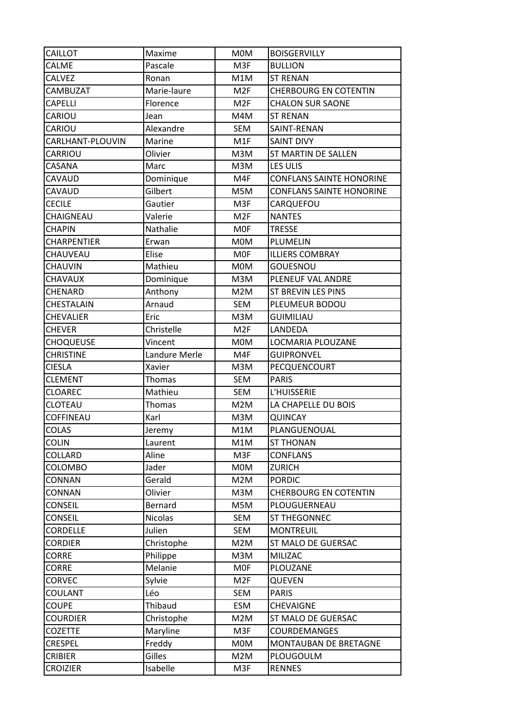| CAILLOT          | Maxime          | <b>MOM</b>      | <b>BOISGERVILLY</b>             |
|------------------|-----------------|-----------------|---------------------------------|
| <b>CALME</b>     | Pascale         | M3F             | <b>BULLION</b>                  |
| CALVEZ           | Ronan           | M1M             | <b>ST RENAN</b>                 |
| CAMBUZAT         | Marie-laure     | M <sub>2F</sub> | <b>CHERBOURG EN COTENTIN</b>    |
| <b>CAPELLI</b>   | Florence        | M <sub>2F</sub> | <b>CHALON SUR SAONE</b>         |
| CARIOU           | Jean            | M4M             | <b>ST RENAN</b>                 |
| CARIOU           | Alexandre       | <b>SEM</b>      | SAINT-RENAN                     |
| CARLHANT-PLOUVIN | Marine          | M1F             | <b>SAINT DIVY</b>               |
| CARRIOU          | Olivier         | M3M             | ST MARTIN DE SALLEN             |
| CASANA           | Marc            | M3M             | LES ULIS                        |
| CAVAUD           | Dominique       | M4F             | <b>CONFLANS SAINTE HONORINE</b> |
| CAVAUD           | Gilbert         | M5M             | <b>CONFLANS SAINTE HONORINE</b> |
| <b>CECILE</b>    | Gautier         | M3F             | CARQUEFOU                       |
| CHAIGNEAU        | Valerie         | M <sub>2F</sub> | <b>NANTES</b>                   |
| CHAPIN           | <b>Nathalie</b> | <b>MOF</b>      | <b>TRESSE</b>                   |
| CHARPENTIER      | Erwan           | M0M             | PLUMELIN                        |
| CHAUVEAU         | Elise           | <b>MOF</b>      | <b>ILLIERS COMBRAY</b>          |
| <b>CHAUVIN</b>   | Mathieu         | <b>MOM</b>      | <b>GOUESNOU</b>                 |
| <b>CHAVAUX</b>   | Dominique       | M3M             | PLENEUF VAL ANDRE               |
| CHENARD          | Anthony         | M2M             | ST BREVIN LES PINS              |
| CHESTALAIN       | Arnaud          | SEM             | PLEUMEUR BODOU                  |
| CHEVALIER        | Eric            | M3M             | <b>GUIMILIAU</b>                |
| <b>CHEVER</b>    | Christelle      | M <sub>2F</sub> | LANDEDA                         |
| CHOQUEUSE        | Vincent         | <b>MOM</b>      | LOCMARIA PLOUZANE               |
| <b>CHRISTINE</b> | Landure Merle   | M4F             | <b>GUIPRONVEL</b>               |
| <b>CIESLA</b>    | Xavier          | M3M             | PECQUENCOURT                    |
| <b>CLEMENT</b>   | Thomas          | <b>SEM</b>      | <b>PARIS</b>                    |
| <b>CLOAREC</b>   | Mathieu         | <b>SEM</b>      | L'HUISSERIE                     |
| CLOTEAU          | Thomas          | M2M             | LA CHAPELLE DU BOIS             |
| COFFINEAU        | Karl            | M3M             | <b>QUINCAY</b>                  |
| <b>COLAS</b>     | Jeremy          | M1M             | PLANGUENOUAL                    |
| <b>COLIN</b>     | Laurent         | M1M             | <b>ST THONAN</b>                |
| COLLARD          | Aline           | M3F             | <b>CONFLANS</b>                 |
| COLOMBO          | Jader           | <b>MOM</b>      | <b>ZURICH</b>                   |
| CONNAN           | Gerald          | M2M             | <b>PORDIC</b>                   |
| CONNAN           | Olivier         | M3M             | <b>CHERBOURG EN COTENTIN</b>    |
| <b>CONSEIL</b>   | Bernard         | M5M             | PLOUGUERNEAU                    |
| <b>CONSEIL</b>   | <b>Nicolas</b>  | SEM             | ST THEGONNEC                    |
| <b>CORDELLE</b>  | Julien          | SEM             | <b>MONTREUIL</b>                |
| CORDIER          | Christophe      | M2M             | ST MALO DE GUERSAC              |
| <b>CORRE</b>     | Philippe        | M3M             | <b>MILIZAC</b>                  |
| <b>CORRE</b>     | Melanie         | <b>MOF</b>      | PLOUZANE                        |
| <b>CORVEC</b>    | Sylvie          | M <sub>2F</sub> | QUEVEN                          |
| COULANT          | Léo             | <b>SEM</b>      | <b>PARIS</b>                    |
| COUPE            | Thibaud         | ESM             | <b>CHEVAIGNE</b>                |
| <b>COURDIER</b>  | Christophe      | M2M             | ST MALO DE GUERSAC              |
| <b>COZETTE</b>   | Maryline        | M3F             | COURDEMANGES                    |
| CRESPEL          | Freddy          | M0M             | MONTAUBAN DE BRETAGNE           |
| <b>CRIBIER</b>   | Gilles          | M2M             | PLOUGOULM                       |
| <b>CROIZIER</b>  | Isabelle        | M3F             | <b>RENNES</b>                   |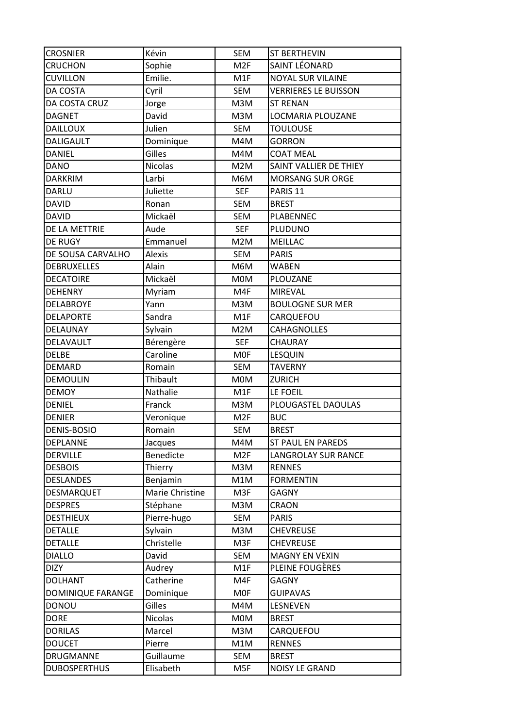| <b>CROSNIER</b>     | Kévin           | <b>SEM</b>      | <b>ST BERTHEVIN</b>         |
|---------------------|-----------------|-----------------|-----------------------------|
| <b>CRUCHON</b>      | Sophie          | M <sub>2F</sub> | SAINT LÉONARD               |
| <b>CUVILLON</b>     | Emilie.         | M1F             | <b>NOYAL SUR VILAINE</b>    |
| DA COSTA            | Cyril           | <b>SEM</b>      | <b>VERRIERES LE BUISSON</b> |
| DA COSTA CRUZ       | Jorge           | M3M             | <b>ST RENAN</b>             |
| <b>DAGNET</b>       | David           | M3M             | LOCMARIA PLOUZANE           |
| <b>DAILLOUX</b>     | Julien          | SEM             | <b>TOULOUSE</b>             |
| <b>DALIGAULT</b>    | Dominique       | M4M             | <b>GORRON</b>               |
| <b>DANIEL</b>       | Gilles          | M4M             | <b>COAT MEAL</b>            |
| <b>DANO</b>         | <b>Nicolas</b>  | M2M             | SAINT VALLIER DE THIEY      |
| <b>DARKRIM</b>      | Larbi           | M6M             | <b>MORSANG SUR ORGE</b>     |
| <b>DARLU</b>        | Juliette        | <b>SEF</b>      | PARIS <sub>11</sub>         |
| <b>DAVID</b>        | Ronan           | <b>SEM</b>      | <b>BREST</b>                |
| <b>DAVID</b>        | Mickaël         | <b>SEM</b>      | PLABENNEC                   |
| DE LA METTRIE       | Aude            | <b>SEF</b>      | PLUDUNO                     |
| DE RUGY             | Emmanuel        | M2M             | MEILLAC                     |
| DE SOUSA CARVALHO   | Alexis          | <b>SEM</b>      | <b>PARIS</b>                |
| <b>DEBRUXELLES</b>  | Alain           | M6M             | <b>WABEN</b>                |
| <b>DECATOIRE</b>    | Mickaël         | <b>MOM</b>      | PLOUZANE                    |
| <b>DEHENRY</b>      | Myriam          | M4F             | <b>MIREVAL</b>              |
| <b>DELABROYE</b>    | Yann            | M3M             | <b>BOULOGNE SUR MER</b>     |
| <b>DELAPORTE</b>    | Sandra          | M1F             | CARQUEFOU                   |
| DELAUNAY            | Sylvain         | M2M             | CAHAGNOLLES                 |
| DELAVAULT           | Bérengère       | <b>SEF</b>      | <b>CHAURAY</b>              |
| <b>DELBE</b>        | Caroline        | <b>MOF</b>      | <b>LESQUIN</b>              |
| DEMARD              | Romain          | <b>SEM</b>      | <b>TAVERNY</b>              |
| <b>DEMOULIN</b>     | Thibault        | M0M             | <b>ZURICH</b>               |
| <b>DEMOY</b>        | Nathalie        | M1F             | LE FOEIL                    |
| <b>DENIEL</b>       | Franck          | M3M             | PLOUGASTEL DAOULAS          |
| <b>DENIER</b>       | Veronique       | M <sub>2F</sub> | <b>BUC</b>                  |
| <b>DENIS-BOSIO</b>  | Romain          | <b>SEM</b>      | <b>BREST</b>                |
| <b>DEPLANNE</b>     | Jacques         | M4M             | ST PAUL EN PAREDS           |
| <b>DERVILLE</b>     | Benedicte       | M <sub>2F</sub> | <b>LANGROLAY SUR RANCE</b>  |
| <b>DESBOIS</b>      | Thierry         | M3M             | <b>RENNES</b>               |
| <b>DESLANDES</b>    | Benjamin        | M1M             | <b>FORMENTIN</b>            |
| DESMARQUET          | Marie Christine | M3F             | <b>GAGNY</b>                |
| <b>DESPRES</b>      | Stéphane        | M3M             | <b>CRAON</b>                |
| <b>DESTHIEUX</b>    | Pierre-hugo     | <b>SEM</b>      | <b>PARIS</b>                |
| <b>DETALLE</b>      | Sylvain         | M3M             | <b>CHEVREUSE</b>            |
| <b>DETALLE</b>      | Christelle      | M3F             | <b>CHEVREUSE</b>            |
| <b>DIALLO</b>       | David           | SEM             | <b>MAGNY EN VEXIN</b>       |
| <b>DIZY</b>         | Audrey          | M1F             | PLEINE FOUGÈRES             |
| <b>DOLHANT</b>      | Catherine       | M4F             | <b>GAGNY</b>                |
| DOMINIQUE FARANGE   | Dominique       | <b>MOF</b>      | <b>GUIPAVAS</b>             |
| <b>DONOU</b>        | Gilles          | M4M             | <b>LESNEVEN</b>             |
| <b>DORE</b>         | <b>Nicolas</b>  | <b>MOM</b>      | <b>BREST</b>                |
| <b>DORILAS</b>      | Marcel          | M3M             | CARQUEFOU                   |
| <b>DOUCET</b>       | Pierre          | M1M             | <b>RENNES</b>               |
| <b>DRUGMANNE</b>    | Guillaume       | SEM             | <b>BREST</b>                |
| <b>DUBOSPERTHUS</b> | Elisabeth       | M5F             | NOISY LE GRAND              |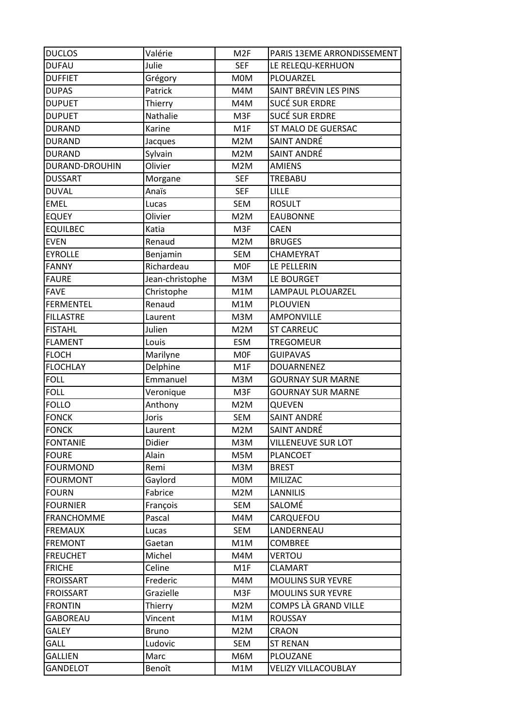| <b>DUCLOS</b>     | Valérie         | M <sub>2F</sub> | PARIS 13EME ARRONDISSEMENT |
|-------------------|-----------------|-----------------|----------------------------|
| <b>DUFAU</b>      | Julie           | <b>SEF</b>      | LE RELEQU-KERHUON          |
| <b>DUFFIET</b>    | Grégory         | <b>MOM</b>      | PLOUARZEL                  |
| <b>DUPAS</b>      | Patrick         | M4M             | SAINT BRÉVIN LES PINS      |
| <b>DUPUET</b>     | Thierry         | M4M             | <b>SUCÉ SUR ERDRE</b>      |
| <b>DUPUET</b>     | Nathalie        | M3F             | <b>SUCÉ SUR ERDRE</b>      |
| <b>DURAND</b>     | Karine          | M1F             | ST MALO DE GUERSAC         |
| <b>DURAND</b>     | Jacques         | M2M             | SAINT ANDRÉ                |
| <b>DURAND</b>     | Sylvain         | M2M             | SAINT ANDRÉ                |
| DURAND-DROUHIN    | Olivier         | M2M             | <b>AMIENS</b>              |
| <b>DUSSART</b>    | Morgane         | <b>SEF</b>      | TREBABU                    |
| <b>DUVAL</b>      | Anaïs           | <b>SEF</b>      | <b>LILLE</b>               |
| <b>EMEL</b>       | Lucas           | <b>SEM</b>      | <b>ROSULT</b>              |
| <b>EQUEY</b>      | Olivier         | M2M             | <b>EAUBONNE</b>            |
| <b>EQUILBEC</b>   | Katia           | M3F             | CAEN                       |
| <b>EVEN</b>       | Renaud          | M2M             | <b>BRUGES</b>              |
| <b>EYROLLE</b>    | Benjamin        | <b>SEM</b>      | CHAMEYRAT                  |
| <b>FANNY</b>      | Richardeau      | <b>MOF</b>      | LE PELLERIN                |
| <b>FAURE</b>      | Jean-christophe | M3M             | LE BOURGET                 |
| <b>FAVE</b>       | Christophe      | M1M             | LAMPAUL PLOUARZEL          |
| <b>FERMENTEL</b>  | Renaud          | M1M             | <b>PLOUVIEN</b>            |
| <b>FILLASTRE</b>  | Laurent         | M3M             | <b>AMPONVILLE</b>          |
| <b>FISTAHL</b>    | Julien          | M2M             | <b>ST CARREUC</b>          |
| <b>FLAMENT</b>    | Louis           | <b>ESM</b>      | TREGOMEUR                  |
| <b>FLOCH</b>      | Marilyne        | <b>MOF</b>      | <b>GUIPAVAS</b>            |
| <b>FLOCHLAY</b>   | Delphine        | M1F             | <b>DOUARNENEZ</b>          |
| <b>FOLL</b>       | Emmanuel        | M3M             | <b>GOURNAY SUR MARNE</b>   |
| <b>FOLL</b>       | Veronique       | M3F             | <b>GOURNAY SUR MARNE</b>   |
| <b>FOLLO</b>      | Anthony         | M2M             | QUEVEN                     |
| <b>FONCK</b>      | Joris           | <b>SEM</b>      | SAINT ANDRÉ                |
| <b>FONCK</b>      | Laurent         | M2M             | SAINT ANDRÉ                |
| <b>FONTANIE</b>   | Didier          | M3M             | <b>VILLENEUVE SUR LOT</b>  |
| <b>FOURE</b>      | Alain           | M5M             | <b>PLANCOET</b>            |
| <b>FOURMOND</b>   | Remi            | M3M             | <b>BREST</b>               |
| <b>FOURMONT</b>   | Gaylord         | M0M             | MILIZAC                    |
| <b>FOURN</b>      | Fabrice         | M2M             | <b>LANNILIS</b>            |
| <b>FOURNIER</b>   | François        | SEM             | SALOMÉ                     |
| <b>FRANCHOMME</b> | Pascal          | M4M             | CARQUEFOU                  |
| <b>FREMAUX</b>    | Lucas           | SEM             | LANDERNEAU                 |
| <b>FREMONT</b>    | Gaetan          | M1M             | <b>COMBREE</b>             |
| <b>FREUCHET</b>   | Michel          | M4M             | <b>VERTOU</b>              |
| <b>FRICHE</b>     | Celine          | M1F             | <b>CLAMART</b>             |
| <b>FROISSART</b>  | Frederic        | M4M             | <b>MOULINS SUR YEVRE</b>   |
| <b>FROISSART</b>  | Grazielle       | M3F             | <b>MOULINS SUR YEVRE</b>   |
| <b>FRONTIN</b>    | Thierry         | M2M             | COMPS LÀ GRAND VILLE       |
| <b>GABOREAU</b>   | Vincent         | M1M             | <b>ROUSSAY</b>             |
| <b>GALEY</b>      | <b>Bruno</b>    | M2M             | <b>CRAON</b>               |
| GALL              | Ludovic         | SEM             | <b>ST RENAN</b>            |
| <b>GALLIEN</b>    | Marc            | M6M             | PLOUZANE                   |
| <b>GANDELOT</b>   | Benoît          | M1M             | <b>VELIZY VILLACOUBLAY</b> |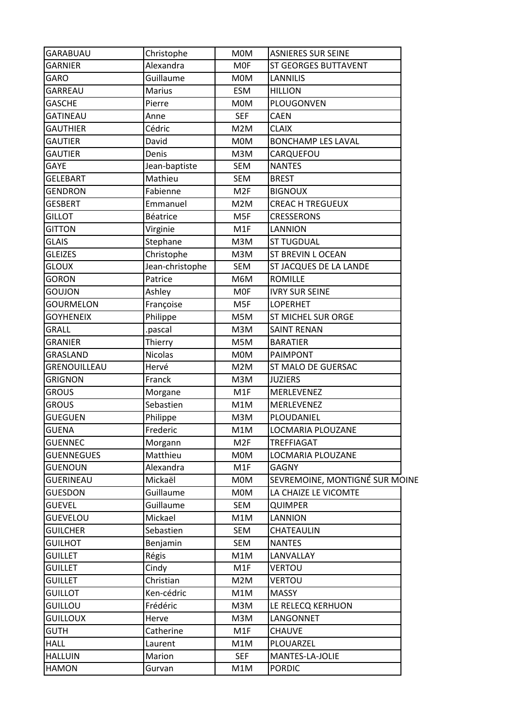| <b>GARABUAU</b>   | Christophe      | <b>MOM</b>       | <b>ASNIERES SUR SEINE</b>      |
|-------------------|-----------------|------------------|--------------------------------|
| <b>GARNIER</b>    | Alexandra       | <b>MOF</b>       | <b>ST GEORGES BUTTAVENT</b>    |
| GARO              | Guillaume       | <b>MOM</b>       | <b>LANNILIS</b>                |
| GARREAU           | <b>Marius</b>   | <b>ESM</b>       | <b>HILLION</b>                 |
| <b>GASCHE</b>     | Pierre          | <b>MOM</b>       | PLOUGONVEN                     |
| <b>GATINEAU</b>   | Anne            | <b>SEF</b>       | <b>CAEN</b>                    |
| <b>GAUTHIER</b>   | Cédric          | M2M              | <b>CLAIX</b>                   |
| <b>GAUTIER</b>    | David           | <b>MOM</b>       | <b>BONCHAMP LES LAVAL</b>      |
| <b>GAUTIER</b>    | Denis           | M3M              | CARQUEFOU                      |
| <b>GAYE</b>       | Jean-baptiste   | SEM              | <b>NANTES</b>                  |
| <b>GELEBART</b>   | Mathieu         | <b>SEM</b>       | <b>BREST</b>                   |
| <b>GENDRON</b>    | Fabienne        | M <sub>2F</sub>  | <b>BIGNOUX</b>                 |
| <b>GESBERT</b>    | Emmanuel        | M2M              | <b>CREAC H TREGUEUX</b>        |
| <b>GILLOT</b>     | <b>Béatrice</b> | M <sub>5F</sub>  | <b>CRESSERONS</b>              |
| <b>GITTON</b>     | Virginie        | M <sub>1</sub> F | <b>LANNION</b>                 |
| <b>GLAIS</b>      | Stephane        | M3M              | <b>ST TUGDUAL</b>              |
| <b>GLEIZES</b>    | Christophe      | M3M              | ST BREVIN L OCEAN              |
| <b>GLOUX</b>      | Jean-christophe | <b>SEM</b>       | ST JACQUES DE LA LANDE         |
| <b>GORON</b>      | Patrice         | M6M              | <b>ROMILLE</b>                 |
| <b>GOUJON</b>     | Ashley          | <b>MOF</b>       | <b>IVRY SUR SEINE</b>          |
| <b>GOURMELON</b>  | Françoise       | M <sub>5F</sub>  | <b>LOPERHET</b>                |
| <b>GOYHENEIX</b>  | Philippe        | M5M              | <b>ST MICHEL SUR ORGE</b>      |
| <b>GRALL</b>      | .pascal         | M3M              | <b>SAINT RENAN</b>             |
| <b>GRANIER</b>    | Thierry         | M5M              | <b>BARATIER</b>                |
| GRASLAND          | <b>Nicolas</b>  | <b>MOM</b>       | <b>PAIMPONT</b>                |
| GRENOUILLEAU      | Hervé           | M2M              | ST MALO DE GUERSAC             |
| <b>GRIGNON</b>    | Franck          | M3M              | <b>JUZIERS</b>                 |
| <b>GROUS</b>      | Morgane         | M <sub>1</sub> F | MERLEVENEZ                     |
| <b>GROUS</b>      | Sebastien       | M1M              | MERLEVENEZ                     |
| <b>GUEGUEN</b>    | Philippe        | M3M              | PLOUDANIEL                     |
| <b>GUENA</b>      | Frederic        | M1M              | LOCMARIA PLOUZANE              |
| <b>GUENNEC</b>    | Morgann         | M <sub>2F</sub>  | TREFFIAGAT                     |
| <b>GUENNEGUES</b> | Matthieu        | <b>MOM</b>       | LOCMARIA PLOUZANE              |
| <b>GUENOUN</b>    | Alexandra       | M1F              | <b>GAGNY</b>                   |
| <b>GUERINEAU</b>  | Mickaël         | <b>MOM</b>       | SEVREMOINE, MONTIGNÉ SUR MOINE |
| <b>GUESDON</b>    | Guillaume       | <b>MOM</b>       | LA CHAIZE LE VICOMTE           |
| <b>GUEVEL</b>     | Guillaume       | SEM              | <b>QUIMPER</b>                 |
| <b>GUEVELOU</b>   | Mickael         | M1M              | LANNION                        |
| <b>GUILCHER</b>   | Sebastien       | SEM              | CHATEAULIN                     |
| <b>GUILHOT</b>    | Benjamin        | SEM              | <b>NANTES</b>                  |
| <b>GUILLET</b>    | Régis           | M1M              | LANVALLAY                      |
| <b>GUILLET</b>    | Cindy           | M1F              | <b>VERTOU</b>                  |
| <b>GUILLET</b>    | Christian       | M <sub>2</sub> M | <b>VERTOU</b>                  |
| <b>GUILLOT</b>    | Ken-cédric      | M1M              | <b>MASSY</b>                   |
| <b>GUILLOU</b>    | Frédéric        | M3M              | LE RELECQ KERHUON              |
| <b>GUILLOUX</b>   | Herve           | M3M              | LANGONNET                      |
| <b>GUTH</b>       | Catherine       | M1F              | <b>CHAUVE</b>                  |
| <b>HALL</b>       | Laurent         | M1M              | PLOUARZEL                      |
| <b>HALLUIN</b>    | Marion          | <b>SEF</b>       | MANTES-LA-JOLIE                |
| <b>HAMON</b>      | Gurvan          | M1M              | <b>PORDIC</b>                  |
|                   |                 |                  |                                |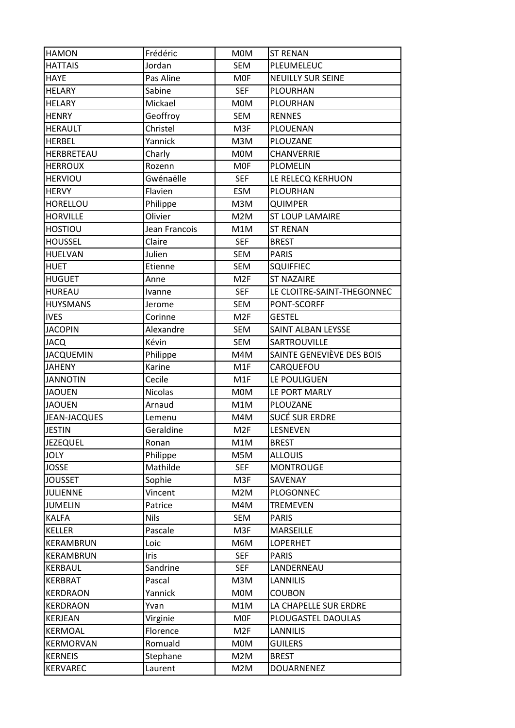| <b>HAMON</b>        | Frédéric       | <b>MOM</b>      | <b>ST RENAN</b>            |
|---------------------|----------------|-----------------|----------------------------|
| <b>HATTAIS</b>      | Jordan         | <b>SEM</b>      | PLEUMELEUC                 |
| <b>HAYE</b>         | Pas Aline      | <b>MOF</b>      | <b>NEUILLY SUR SEINE</b>   |
| <b>HELARY</b>       | Sabine         | <b>SEF</b>      | <b>PLOURHAN</b>            |
| HELARY              | Mickael        | <b>MOM</b>      | PLOURHAN                   |
| <b>HENRY</b>        | Geoffroy       | <b>SEM</b>      | <b>RENNES</b>              |
| <b>HERAULT</b>      | Christel       | M3F             | PLOUENAN                   |
| <b>HERBEL</b>       | Yannick        | M3M             | PLOUZANE                   |
| HERBRETEAU          | Charly         | <b>MOM</b>      | CHANVERRIE                 |
| <b>HERROUX</b>      | Rozenn         | <b>MOF</b>      | <b>PLOMELIN</b>            |
| <b>HERVIOU</b>      | Gwénaëlle      | <b>SEF</b>      | LE RELECQ KERHUON          |
| <b>HERVY</b>        | Flavien        | <b>ESM</b>      | PLOURHAN                   |
| HORELLOU            | Philippe       | M3M             | <b>QUIMPER</b>             |
| <b>HORVILLE</b>     | Olivier        | M2M             | <b>ST LOUP LAMAIRE</b>     |
| <b>HOSTIOU</b>      | Jean Francois  | M1M             | <b>ST RENAN</b>            |
| <b>HOUSSEL</b>      | Claire         | <b>SEF</b>      | <b>BREST</b>               |
| HUELVAN             | Julien         | <b>SEM</b>      | <b>PARIS</b>               |
| <b>HUET</b>         | Etienne        | <b>SEM</b>      | <b>SQUIFFIEC</b>           |
| <b>HUGUET</b>       | Anne           | M <sub>2F</sub> | <b>ST NAZAIRE</b>          |
| <b>HUREAU</b>       | Ivanne         | <b>SEF</b>      | LE CLOITRE-SAINT-THEGONNEC |
| <b>HUYSMANS</b>     | Jerome         | <b>SEM</b>      | PONT-SCORFF                |
| <b>IVES</b>         | Corinne        | M <sub>2F</sub> | <b>GESTEL</b>              |
| <b>JACOPIN</b>      | Alexandre      | <b>SEM</b>      | SAINT ALBAN LEYSSE         |
| JACQ                | Kévin          | <b>SEM</b>      | SARTROUVILLE               |
| <b>JACQUEMIN</b>    | Philippe       | M4M             | SAINTE GENEVIÈVE DES BOIS  |
| <b>JAHENY</b>       | Karine         | M1F             | CARQUEFOU                  |
| <b>JANNOTIN</b>     | Cecile         | M1F             | LE POULIGUEN               |
| <b>JAOUEN</b>       | <b>Nicolas</b> | <b>MOM</b>      | LE PORT MARLY              |
| <b>JAOUEN</b>       | Arnaud         | M1M             | PLOUZANE                   |
| <b>JEAN-JACQUES</b> | Lemenu         | M4M             | <b>SUCÉ SUR ERDRE</b>      |
| <b>JESTIN</b>       | Geraldine      | M <sub>2F</sub> | LESNEVEN                   |
| <b>JEZEQUEL</b>     | Ronan          | M1M             | <b>BREST</b>               |
| <b>JOLY</b>         | Philippe       | M5M             | <b>ALLOUIS</b>             |
| <b>JOSSE</b>        | Mathilde       | <b>SEF</b>      | <b>MONTROUGE</b>           |
| <b>JOUSSET</b>      | Sophie         | M3F             | SAVENAY                    |
| <b>JULIENNE</b>     | Vincent        | M2M             | PLOGONNEC                  |
| <b>JUMELIN</b>      | Patrice        | M4M             | <b>TREMEVEN</b>            |
| <b>KALFA</b>        | <b>Nils</b>    | SEM             | <b>PARIS</b>               |
| <b>KELLER</b>       | Pascale        | M3F             | <b>MARSEILLE</b>           |
| KERAMBRUN           | Loic           | M6M             | <b>LOPERHET</b>            |
| KERAMBRUN           | Iris           | <b>SEF</b>      | <b>PARIS</b>               |
| KERBAUL             | Sandrine       | <b>SEF</b>      | LANDERNEAU                 |
| KERBRAT             | Pascal         | M3M             | <b>LANNILIS</b>            |
| <b>KERDRAON</b>     | Yannick        | M0M             | <b>COUBON</b>              |
| <b>KERDRAON</b>     | Yvan           | M1M             | LA CHAPELLE SUR ERDRE      |
| <b>KERJEAN</b>      | Virginie       | <b>MOF</b>      | PLOUGASTEL DAOULAS         |
| <b>KERMOAL</b>      | Florence       | M <sub>2F</sub> | <b>LANNILIS</b>            |
| <b>KERMORVAN</b>    | Romuald        | <b>MOM</b>      | <b>GUILERS</b>             |
| <b>KERNEIS</b>      | Stephane       | M2M             | <b>BREST</b>               |
| KERVAREC            | Laurent        | M2M             | DOUARNENEZ                 |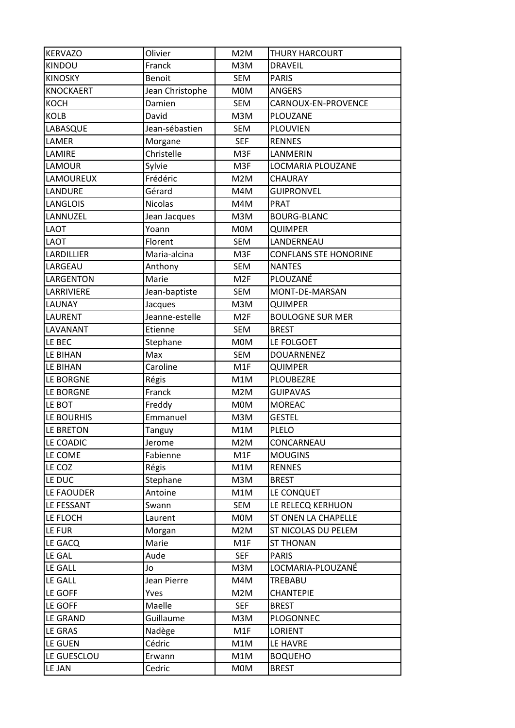| <b>KERVAZO</b>   | Olivier         | M2M              | <b>THURY HARCOURT</b>        |
|------------------|-----------------|------------------|------------------------------|
| <b>KINDOU</b>    | Franck          | M3M              | <b>DRAVEIL</b>               |
| <b>KINOSKY</b>   | <b>Benoit</b>   | <b>SEM</b>       | <b>PARIS</b>                 |
| <b>KNOCKAERT</b> | Jean Christophe | <b>MOM</b>       | <b>ANGERS</b>                |
| KOCH             | Damien          | <b>SEM</b>       | CARNOUX-EN-PROVENCE          |
| <b>KOLB</b>      | David           | M3M              | PLOUZANE                     |
| LABASQUE         | Jean-sébastien  | <b>SEM</b>       | <b>PLOUVIEN</b>              |
| LAMER            | Morgane         | <b>SEF</b>       | <b>RENNES</b>                |
| LAMIRE           | Christelle      | M3F              | LANMERIN                     |
| LAMOUR           | Sylvie          | M3F              | LOCMARIA PLOUZANE            |
| LAMOUREUX        | Frédéric        | M2M              | <b>CHAURAY</b>               |
| LANDURE          | Gérard          | M4M              | <b>GUIPRONVEL</b>            |
| LANGLOIS         | Nicolas         | M4M              | <b>PRAT</b>                  |
| LANNUZEL         | Jean Jacques    | M3M              | <b>BOURG-BLANC</b>           |
| LAOT             | Yoann           | M0M              | <b>QUIMPER</b>               |
| LAOT             | Florent         | <b>SEM</b>       | LANDERNEAU                   |
| LARDILLIER       | Maria-alcina    | M3F              | <b>CONFLANS STE HONORINE</b> |
| LARGEAU          | Anthony         | <b>SEM</b>       | <b>NANTES</b>                |
| LARGENTON        | Marie           | M <sub>2F</sub>  | PLOUZANÉ                     |
| LARRIVIERE       | Jean-baptiste   | <b>SEM</b>       | MONT-DE-MARSAN               |
| LAUNAY           | Jacques         | M3M              | <b>QUIMPER</b>               |
| LAURENT          | Jeanne-estelle  | M <sub>2F</sub>  | <b>BOULOGNE SUR MER</b>      |
| LAVANANT         | Etienne         | <b>SEM</b>       | <b>BREST</b>                 |
| LE BEC           | Stephane        | M0M              | LE FOLGOET                   |
| LE BIHAN         | Max             | <b>SEM</b>       | <b>DOUARNENEZ</b>            |
| LE BIHAN         | Caroline        | M <sub>1</sub> F | <b>QUIMPER</b>               |
| LE BORGNE        | Régis           | M1M              | <b>PLOUBEZRE</b>             |
| LE BORGNE        | Franck          | M2M              | <b>GUIPAVAS</b>              |
| LE BOT           | Freddy          | <b>MOM</b>       | <b>MOREAC</b>                |
| LE BOURHIS       | Emmanuel        | M3M              | <b>GESTEL</b>                |
| LE BRETON        | Tanguy          | M1M              | <b>PLELO</b>                 |
| LE COADIC        | Jerome          | M2M              | CONCARNEAU                   |
| LE COME          | Fabienne        | M1F              | <b>MOUGINS</b>               |
| LE COZ           | Régis           | M1M              | <b>RENNES</b>                |
| LE DUC           | Stephane        | M3M              | <b>BREST</b>                 |
| LE FAOUDER       | Antoine         | M1M              | LE CONQUET                   |
| LE FESSANT       | Swann           | <b>SEM</b>       | LE RELECQ KERHUON            |
| LE FLOCH         | Laurent         | <b>MOM</b>       | ST ONEN LA CHAPELLE          |
| LE FUR           | Morgan          | M2M              | ST NICOLAS DU PELEM          |
| LE GACQ          | Marie           | M1F              | <b>ST THONAN</b>             |
| LE GAL           | Aude            | <b>SEF</b>       | <b>PARIS</b>                 |
| LE GALL          | Jo              | M3M              | LOCMARIA-PLOUZANÉ            |
| LE GALL          | Jean Pierre     | M4M              | TREBABU                      |
| LE GOFF          | Yves            | M2M              | <b>CHANTEPIE</b>             |
| LE GOFF          | Maelle          | <b>SEF</b>       | <b>BREST</b>                 |
| LE GRAND         | Guillaume       | M3M              | PLOGONNEC                    |
| LE GRAS          | Nadège          | M1F              | LORIENT                      |
| LE GUEN          | Cédric          | M1M              | LE HAVRE                     |
| LE GUESCLOU      | Erwann          | M1M              | <b>BOQUEHO</b>               |
| LE JAN           | Cedric          | <b>MOM</b>       | <b>BREST</b>                 |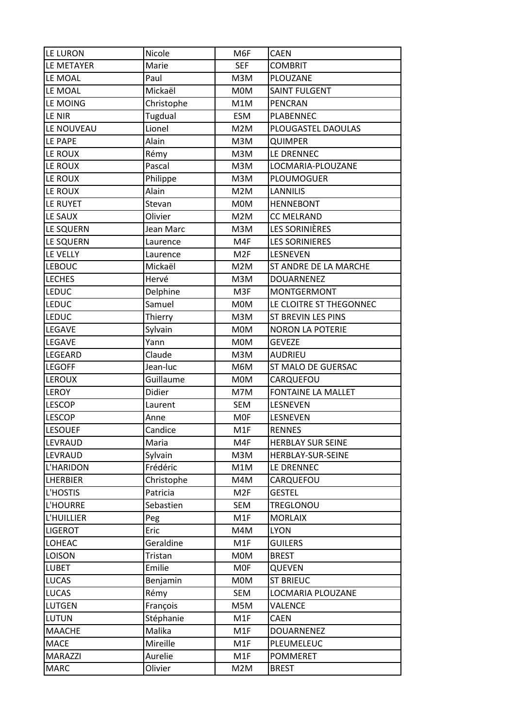| LE LURON        | Nicole     | M6F             | CAEN                      |
|-----------------|------------|-----------------|---------------------------|
| LE METAYER      | Marie      | <b>SEF</b>      | <b>COMBRIT</b>            |
| LE MOAL         | Paul       | M3M             | PLOUZANE                  |
| LE MOAL         | Mickaël    | <b>MOM</b>      | <b>SAINT FULGENT</b>      |
| LE MOING        | Christophe | M1M             | <b>PENCRAN</b>            |
| LE NIR          | Tugdual    | <b>ESM</b>      | PLABENNEC                 |
| LE NOUVEAU      | Lionel     | M2M             | PLOUGASTEL DAOULAS        |
| LE PAPE         | Alain      | M3M             | <b>QUIMPER</b>            |
| LE ROUX         | Rémy       | M3M             | LE DRENNEC                |
| LE ROUX         | Pascal     | M3M             | LOCMARIA-PLOUZANE         |
| LE ROUX         | Philippe   | M3M             | PLOUMOGUER                |
| LE ROUX         | Alain      | M2M             | <b>LANNILIS</b>           |
| LE RUYET        | Stevan     | <b>MOM</b>      | <b>HENNEBONT</b>          |
| LE SAUX         | Olivier    | M2M             | <b>CC MELRAND</b>         |
| LE SQUERN       | Jean Marc  | M3M             | LES SORINIÈRES            |
| LE SQUERN       | Laurence   | M4F             | <b>LES SORINIERES</b>     |
| LE VELLY        | Laurence   | M <sub>2F</sub> | LESNEVEN                  |
| <b>LEBOUC</b>   | Mickaël    | M2M             | ST ANDRE DE LA MARCHE     |
| <b>LECHES</b>   | Hervé      | M3M             | <b>DOUARNENEZ</b>         |
| <b>LEDUC</b>    | Delphine   | M3F             | <b>MONTGERMONT</b>        |
| <b>LEDUC</b>    | Samuel     | <b>MOM</b>      | LE CLOITRE ST THEGONNEC   |
| <b>LEDUC</b>    | Thierry    | M3M             | ST BREVIN LES PINS        |
| LEGAVE          | Sylvain    | <b>MOM</b>      | <b>NORON LA POTERIE</b>   |
| LEGAVE          | Yann       | <b>MOM</b>      | <b>GEVEZE</b>             |
| LEGEARD         | Claude     | M3M             | <b>AUDRIEU</b>            |
| <b>LEGOFF</b>   | Jean-luc   | M6M             | ST MALO DE GUERSAC        |
| <b>LEROUX</b>   | Guillaume  | <b>MOM</b>      | CARQUEFOU                 |
| LEROY           | Didier     | M7M             | <b>FONTAINE LA MALLET</b> |
| <b>LESCOP</b>   | Laurent    | <b>SEM</b>      | LESNEVEN                  |
| <b>LESCOP</b>   | Anne       | <b>MOF</b>      | LESNEVEN                  |
| <b>LESOUEF</b>  | Candice    | M1F             | <b>RENNES</b>             |
| LEVRAUD         | Maria      | M4F             | <b>HERBLAY SUR SEINE</b>  |
| LEVRAUD         | Sylvain    | M3M             | HERBLAY-SUR-SEINE         |
| L'HARIDON       | Frédéric   | M1M             | LE DRENNEC                |
| <b>LHERBIER</b> | Christophe | M4M             | CARQUEFOU                 |
| L'HOSTIS        | Patricia   | M <sub>2F</sub> | <b>GESTEL</b>             |
| L'HOURRE        | Sebastien  | <b>SEM</b>      | TREGLONOU                 |
| L'HUILLIER      | Peg        | M1F             | <b>MORLAIX</b>            |
| <b>LIGEROT</b>  | Eric       | M4M             | <b>LYON</b>               |
| <b>LOHEAC</b>   | Geraldine  | M1F             | <b>GUILERS</b>            |
| LOISON          | Tristan    | <b>MOM</b>      | <b>BREST</b>              |
| <b>LUBET</b>    | Emilie     | <b>MOF</b>      | <b>QUEVEN</b>             |
| <b>LUCAS</b>    | Benjamin   | <b>MOM</b>      | <b>ST BRIEUC</b>          |
| <b>LUCAS</b>    | Rémy       | <b>SEM</b>      | LOCMARIA PLOUZANE         |
| <b>LUTGEN</b>   | François   | M5M             | VALENCE                   |
| <b>LUTUN</b>    | Stéphanie  | M1F             | <b>CAEN</b>               |
| <b>MAACHE</b>   | Malika     | M1F             | <b>DOUARNENEZ</b>         |
| <b>MACE</b>     | Mireille   | M1F             | PLEUMELEUC                |
| <b>MARAZZI</b>  | Aurelie    | M1F             | <b>POMMERET</b>           |
| <b>MARC</b>     | Olivier    | M2M             | <b>BREST</b>              |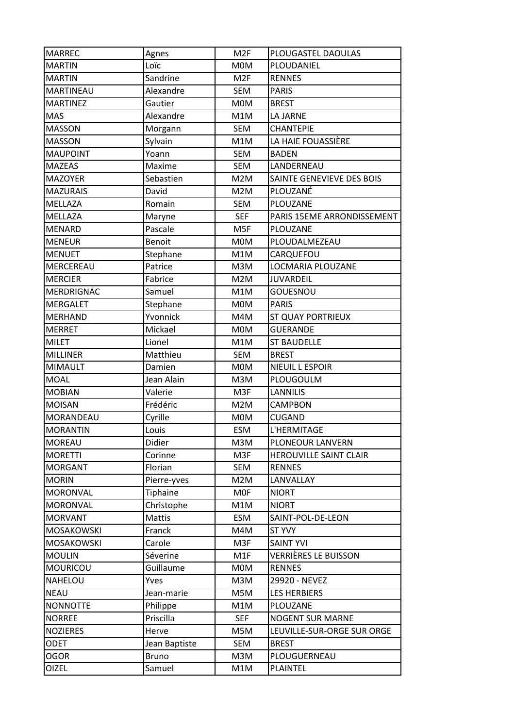| <b>MARREC</b>     | Agnes         | M <sub>2F</sub> | PLOUGASTEL DAOULAS            |
|-------------------|---------------|-----------------|-------------------------------|
| <b>MARTIN</b>     | Loïc          | <b>MOM</b>      | PLOUDANIEL                    |
| <b>MARTIN</b>     | Sandrine      | M <sub>2F</sub> | <b>RENNES</b>                 |
| <b>MARTINEAU</b>  | Alexandre     | <b>SEM</b>      | <b>PARIS</b>                  |
| <b>MARTINEZ</b>   | Gautier       | <b>MOM</b>      | <b>BREST</b>                  |
| <b>MAS</b>        | Alexandre     | M1M             | LA JARNE                      |
| <b>MASSON</b>     | Morgann       | SEM             | <b>CHANTEPIE</b>              |
| <b>MASSON</b>     | Sylvain       | M1M             | LA HAIE FOUASSIÈRE            |
| <b>MAUPOINT</b>   | Yoann         | <b>SEM</b>      | <b>BADEN</b>                  |
| <b>MAZEAS</b>     | Maxime        | <b>SEM</b>      | LANDERNEAU                    |
| <b>MAZOYER</b>    | Sebastien     | M2M             | SAINTE GENEVIEVE DES BOIS     |
| <b>MAZURAIS</b>   | David         | M2M             | PLOUZANÉ                      |
| MELLAZA           | Romain        | <b>SEM</b>      | PLOUZANE                      |
| <b>MELLAZA</b>    | Maryne        | <b>SEF</b>      | PARIS 15EME ARRONDISSEMENT    |
| MENARD            | Pascale       | M <sub>5F</sub> | <b>PLOUZANE</b>               |
| <b>MENEUR</b>     | Benoit        | <b>MOM</b>      | PLOUDALMEZEAU                 |
| <b>MENUET</b>     | Stephane      | M1M             | CARQUEFOU                     |
| MERCEREAU         | Patrice       | M3M             | LOCMARIA PLOUZANE             |
| <b>MERCIER</b>    | Fabrice       | M2M             | <b>JUVARDEIL</b>              |
| <b>MERDRIGNAC</b> | Samuel        | M1M             | <b>GOUESNOU</b>               |
| <b>MERGALET</b>   | Stephane      | <b>MOM</b>      | <b>PARIS</b>                  |
| <b>MERHAND</b>    | Yvonnick      | M4M             | ST QUAY PORTRIEUX             |
| <b>MERRET</b>     | Mickael       | <b>MOM</b>      | <b>GUERANDE</b>               |
| <b>MILET</b>      | Lionel        | M1M             | <b>ST BAUDELLE</b>            |
| <b>MILLINER</b>   | Matthieu      | <b>SEM</b>      | <b>BREST</b>                  |
| <b>MIMAULT</b>    | Damien        | <b>MOM</b>      | NIEUIL L ESPOIR               |
| <b>MOAL</b>       | Jean Alain    | M3M             | PLOUGOULM                     |
| <b>MOBIAN</b>     | Valerie       | M3F             | <b>LANNILIS</b>               |
| <b>MOISAN</b>     | Frédéric      | M2M             | <b>CAMPBON</b>                |
| MORANDEAU         | Cyrille       | <b>MOM</b>      | <b>CUGAND</b>                 |
| <b>MORANTIN</b>   | Louis         | ESM             | L'HERMITAGE                   |
| <b>MOREAU</b>     | Didier        | M3M             | PLONEOUR LANVERN              |
| <b>MORETTI</b>    | Corinne       | M3F             | <b>HEROUVILLE SAINT CLAIR</b> |
| <b>MORGANT</b>    | Florian       | SEM             | <b>RENNES</b>                 |
| <b>MORIN</b>      | Pierre-yves   | M2M             | LANVALLAY                     |
| <b>MORONVAL</b>   | Tiphaine      | <b>MOF</b>      | <b>NIORT</b>                  |
| MORONVAL          | Christophe    | M1M             | <b>NIORT</b>                  |
| <b>MORVANT</b>    | Mattis        | <b>ESM</b>      | SAINT-POL-DE-LEON             |
| <b>MOSAKOWSKI</b> | Franck        | M4M             | <b>ST YVY</b>                 |
| MOSAKOWSKI        | Carole        | M3F             | <b>SAINT YVI</b>              |
| <b>MOULIN</b>     | Séverine      | M1F             | VERRIÈRES LE BUISSON          |
| <b>MOURICOU</b>   | Guillaume     | M0M             | <b>RENNES</b>                 |
| NAHELOU           | Yves          | M3M             | 29920 - NEVEZ                 |
| <b>NEAU</b>       | Jean-marie    | M5M             | <b>LES HERBIERS</b>           |
| <b>NONNOTTE</b>   | Philippe      | M1M             | PLOUZANE                      |
| <b>NORREE</b>     | Priscilla     | <b>SEF</b>      | <b>NOGENT SUR MARNE</b>       |
| <b>NOZIERES</b>   | Herve         | M5M             | LEUVILLE-SUR-ORGE SUR ORGE    |
| <b>ODET</b>       | Jean Baptiste | <b>SEM</b>      | <b>BREST</b>                  |
| <b>OGOR</b>       | <b>Bruno</b>  | M3M             | PLOUGUERNEAU                  |
| <b>OIZEL</b>      | Samuel        | M1M             | <b>PLAINTEL</b>               |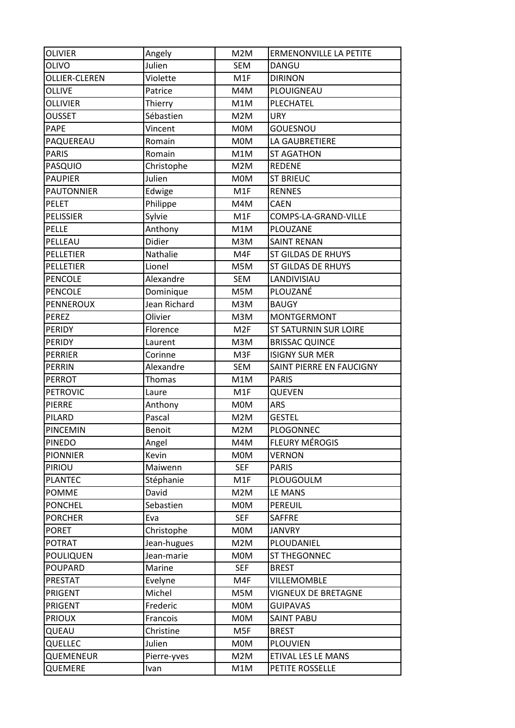| <b>OLIVIER</b>    | Angely       | M2M              | ERMENONVILLE LA PETITE       |
|-------------------|--------------|------------------|------------------------------|
| <b>OLIVO</b>      | Julien       | <b>SEM</b>       | <b>DANGU</b>                 |
| OLLIER-CLEREN     | Violette     | M1F              | <b>DIRINON</b>               |
| <b>OLLIVE</b>     | Patrice      | M4M              | PLOUIGNEAU                   |
| <b>OLLIVIER</b>   | Thierry      | M1M              | PLECHATEL                    |
| <b>OUSSET</b>     | Sébastien    | M2M              | <b>URY</b>                   |
| <b>PAPE</b>       | Vincent      | <b>MOM</b>       | <b>GOUESNOU</b>              |
| PAQUEREAU         | Romain       | <b>MOM</b>       | LA GAUBRETIERE               |
| <b>PARIS</b>      | Romain       | M1M              | <b>ST AGATHON</b>            |
| PASQUIO           | Christophe   | M2M              | <b>REDENE</b>                |
| <b>PAUPIER</b>    | Julien       | M0M              | <b>ST BRIEUC</b>             |
| <b>PAUTONNIER</b> | Edwige       | M1F              | <b>RENNES</b>                |
| <b>PELET</b>      | Philippe     | M4M              | <b>CAEN</b>                  |
| <b>PELISSIER</b>  | Sylvie       | M1F              | COMPS-LA-GRAND-VILLE         |
| PELLE             | Anthony      | M1M              | <b>PLOUZANE</b>              |
| PELLEAU           | Didier       | M3M              | <b>SAINT RENAN</b>           |
| PELLETIER         | Nathalie     | M4F              | ST GILDAS DE RHUYS           |
| PELLETIER         | Lionel       | M5M              | ST GILDAS DE RHUYS           |
| <b>PENCOLE</b>    | Alexandre    | <b>SEM</b>       | LANDIVISIAU                  |
| PENCOLE           | Dominique    | M5M              | PLOUZANÉ                     |
| <b>PENNEROUX</b>  | Jean Richard | M3M              | <b>BAUGY</b>                 |
| <b>PEREZ</b>      | Olivier      | M3M              | <b>MONTGERMONT</b>           |
| <b>PERIDY</b>     | Florence     | M <sub>2F</sub>  | <b>ST SATURNIN SUR LOIRE</b> |
| PERIDY            | Laurent      | M3M              | <b>BRISSAC QUINCE</b>        |
| PERRIER           | Corinne      | M3F              | <b>ISIGNY SUR MER</b>        |
| PERRIN            | Alexandre    | <b>SEM</b>       | SAINT PIERRE EN FAUCIGNY     |
|                   |              |                  |                              |
| <b>PERROT</b>     | Thomas       | M1M              | <b>PARIS</b>                 |
| <b>PETROVIC</b>   | Laure        | M <sub>1</sub> F | QUEVEN                       |
| <b>PIERRE</b>     | Anthony      | <b>MOM</b>       | <b>ARS</b>                   |
| PILARD            | Pascal       | M2M              | <b>GESTEL</b>                |
| PINCEMIN          | Benoit       | M2M              | PLOGONNEC                    |
| <b>PINEDO</b>     | Angel        | M4M              | <b>FLEURY MÉROGIS</b>        |
| <b>PIONNIER</b>   | Kevin        | M0M              | <b>VERNON</b>                |
| PIRIOU            | Maiwenn      | <b>SEF</b>       | <b>PARIS</b>                 |
| <b>PLANTEC</b>    | Stéphanie    | M1F              | PLOUGOULM                    |
| <b>POMME</b>      | David        | M2M              | LE MANS                      |
| <b>PONCHEL</b>    | Sebastien    | <b>MOM</b>       | PEREUIL                      |
| <b>PORCHER</b>    | Eva          | <b>SEF</b>       | <b>SAFFRE</b>                |
| <b>PORET</b>      | Christophe   | M0M              | <b>JANVRY</b>                |
| <b>POTRAT</b>     | Jean-hugues  | M2M              | PLOUDANIEL                   |
| POULIQUEN         | Jean-marie   | M0M              | ST THEGONNEC                 |
| <b>POUPARD</b>    | Marine       | <b>SEF</b>       | <b>BREST</b>                 |
| <b>PRESTAT</b>    | Evelyne      | M4F              | VILLEMOMBLE                  |
| PRIGENT           | Michel       | M5M              | <b>VIGNEUX DE BRETAGNE</b>   |
| PRIGENT           | Frederic     | M0M              | <b>GUIPAVAS</b>              |
| <b>PRIOUX</b>     | Francois     | M0M              | <b>SAINT PABU</b>            |
| QUEAU             | Christine    | M5F              | <b>BREST</b>                 |
| QUELLEC           | Julien       | M0M              | <b>PLOUVIEN</b>              |
| QUEMENEUR         | Pierre-yves  | M2M              | ETIVAL LES LE MANS           |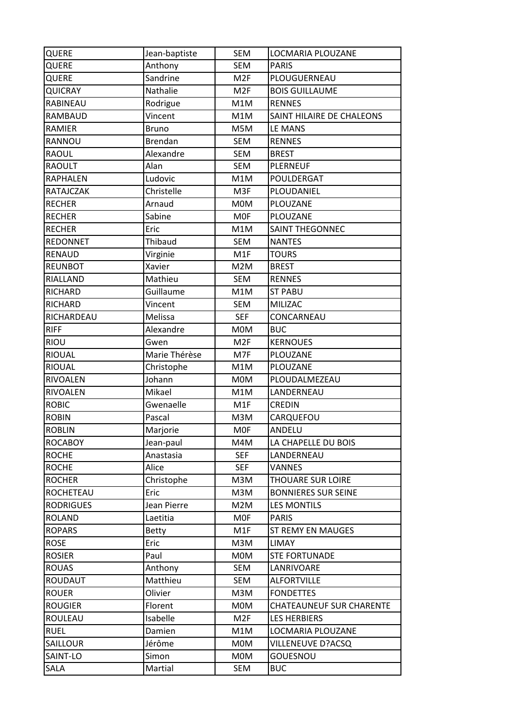| QUERE            | Jean-baptiste  | <b>SEM</b>      | LOCMARIA PLOUZANE               |
|------------------|----------------|-----------------|---------------------------------|
| QUERE            | Anthony        | <b>SEM</b>      | <b>PARIS</b>                    |
| QUERE            | Sandrine       | M <sub>2F</sub> | PLOUGUERNEAU                    |
| <b>QUICRAY</b>   | Nathalie       | M <sub>2F</sub> | <b>BOIS GUILLAUME</b>           |
| RABINEAU         | Rodrigue       | M1M             | <b>RENNES</b>                   |
| RAMBAUD          | Vincent        | M1M             | SAINT HILAIRE DE CHALEONS       |
| RAMIER           | <b>Bruno</b>   | M5M             | LE MANS                         |
| RANNOU           | <b>Brendan</b> | <b>SEM</b>      | <b>RENNES</b>                   |
| <b>RAOUL</b>     | Alexandre      | <b>SEM</b>      | <b>BREST</b>                    |
| <b>RAOULT</b>    | Alan           | <b>SEM</b>      | <b>PLERNEUF</b>                 |
| <b>RAPHALEN</b>  | Ludovic        | M1M             | POULDERGAT                      |
| RATAJCZAK        | Christelle     | M3F             | PLOUDANIEL                      |
| <b>RECHER</b>    | Arnaud         | <b>MOM</b>      | PLOUZANE                        |
| <b>RECHER</b>    | Sabine         | <b>MOF</b>      | PLOUZANE                        |
| <b>RECHER</b>    | Eric           | M1M             | <b>SAINT THEGONNEC</b>          |
| <b>REDONNET</b>  | Thibaud        | <b>SEM</b>      | <b>NANTES</b>                   |
| RENAUD           | Virginie       | M1F             | <b>TOURS</b>                    |
| <b>REUNBOT</b>   | Xavier         | M2M             | <b>BREST</b>                    |
| RIALLAND         | Mathieu        | <b>SEM</b>      | <b>RENNES</b>                   |
| RICHARD          | Guillaume      | M1M             | <b>ST PABU</b>                  |
| RICHARD          | Vincent        | <b>SEM</b>      | MILIZAC                         |
| RICHARDEAU       | Melissa        | <b>SEF</b>      | CONCARNEAU                      |
| <b>RIFF</b>      | Alexandre      | M0M             | <b>BUC</b>                      |
| <b>RIOU</b>      | Gwen           | M <sub>2F</sub> | <b>KERNOUES</b>                 |
| RIOUAL           | Marie Thérèse  | M7F             | PLOUZANE                        |
| <b>RIOUAL</b>    | Christophe     | M1M             | PLOUZANE                        |
| RIVOALEN         | Johann         | <b>MOM</b>      | PLOUDALMEZEAU                   |
| <b>RIVOALEN</b>  | Mikael         | M1M             | LANDERNEAU                      |
| <b>ROBIC</b>     | Gwenaelle      | M1F             | <b>CREDIN</b>                   |
| <b>ROBIN</b>     | Pascal         | M3M             | CARQUEFOU                       |
| <b>ROBLIN</b>    | Marjorie       | <b>MOF</b>      | ANDELU                          |
| <b>ROCABOY</b>   | Jean-paul      | M4M             | LA CHAPELLE DU BOIS             |
| <b>ROCHE</b>     | Anastasia      | <b>SEF</b>      | LANDERNEAU                      |
| <b>ROCHE</b>     | Alice          | <b>SEF</b>      | <b>VANNES</b>                   |
| <b>ROCHER</b>    | Christophe     | M3M             | THOUARE SUR LOIRE               |
| ROCHETEAU        | Eric           | M3M             | <b>BONNIERES SUR SEINE</b>      |
| <b>RODRIGUES</b> | Jean Pierre    | M2M             | <b>LES MONTILS</b>              |
| <b>ROLAND</b>    | Laetitia       | <b>MOF</b>      | <b>PARIS</b>                    |
| <b>ROPARS</b>    | <b>Betty</b>   | M1F             | <b>ST REMY EN MAUGES</b>        |
| <b>ROSE</b>      | Eric           | M3M             | LIMAY                           |
| <b>ROSIER</b>    | Paul           | <b>MOM</b>      | <b>STE FORTUNADE</b>            |
| <b>ROUAS</b>     | Anthony        | SEM             | LANRIVOARE                      |
| ROUDAUT          | Matthieu       | <b>SEM</b>      | <b>ALFORTVILLE</b>              |
| <b>ROUER</b>     | Olivier        | M3M             | <b>FONDETTES</b>                |
| <b>ROUGIER</b>   | Florent        | <b>MOM</b>      | <b>CHATEAUNEUF SUR CHARENTE</b> |
| ROULEAU          | Isabelle       | M <sub>2F</sub> | <b>LES HERBIERS</b>             |
| <b>RUEL</b>      | Damien         | M1M             | LOCMARIA PLOUZANE               |
| SAILLOUR         | Jérôme         | <b>MOM</b>      | VILLENEUVE D?ACSQ               |
| SAINT-LO         | Simon          | <b>MOM</b>      | GOUESNOU                        |
| SALA             | Martial        | SEM             | <b>BUC</b>                      |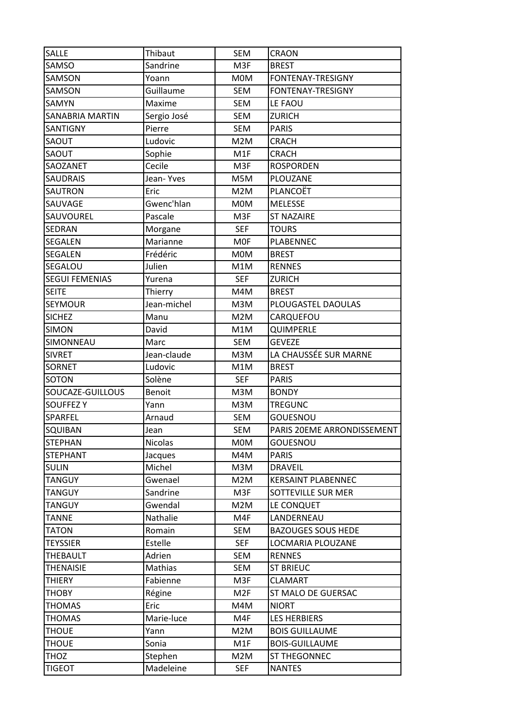| SALLE                  | Thibaut        | <b>SEM</b>       | CRAON                      |
|------------------------|----------------|------------------|----------------------------|
| SAMSO                  | Sandrine       | M3F              | <b>BREST</b>               |
| SAMSON                 | Yoann          | <b>MOM</b>       | FONTENAY-TRESIGNY          |
| SAMSON                 | Guillaume      | <b>SEM</b>       | FONTENAY-TRESIGNY          |
| SAMYN                  | Maxime         | <b>SEM</b>       | LE FAOU                    |
| <b>SANABRIA MARTIN</b> | Sergio José    | <b>SEM</b>       | <b>ZURICH</b>              |
| SANTIGNY               | Pierre         | <b>SEM</b>       | <b>PARIS</b>               |
| SAOUT                  | Ludovic        | M2M              | <b>CRACH</b>               |
| SAOUT                  | Sophie         | M <sub>1</sub> F | <b>CRACH</b>               |
| SAOZANET               | Cecile         | M3F              | <b>ROSPORDEN</b>           |
| <b>SAUDRAIS</b>        | Jean-Yves      | M5M              | PLOUZANE                   |
| SAUTRON                | Eric           | M2M              | PLANCOËT                   |
| SAUVAGE                | Gwenc'hlan     | M0M              | MELESSE                    |
| SAUVOUREL              | Pascale        | M3F              | <b>ST NAZAIRE</b>          |
| SEDRAN                 | Morgane        | <b>SEF</b>       | <b>TOURS</b>               |
| SEGALEN                | Marianne       | <b>MOF</b>       | PLABENNEC                  |
| SEGALEN                | Frédéric       | <b>MOM</b>       | <b>BREST</b>               |
| SEGALOU                | Julien         | M1M              | <b>RENNES</b>              |
| <b>SEGUI FEMENIAS</b>  | Yurena         | <b>SEF</b>       | <b>ZURICH</b>              |
| <b>SEITE</b>           | Thierry        | M4M              | <b>BREST</b>               |
| <b>SEYMOUR</b>         | Jean-michel    | M3M              | PLOUGASTEL DAOULAS         |
| <b>SICHEZ</b>          | Manu           | M2M              | CARQUEFOU                  |
| <b>SIMON</b>           | David          | M1M              | QUIMPERLE                  |
| SIMONNEAU              | Marc           | <b>SEM</b>       | <b>GEVEZE</b>              |
| <b>SIVRET</b>          | Jean-claude    | M3M              | LA CHAUSSÉE SUR MARNE      |
|                        |                |                  |                            |
| <b>SORNET</b>          | Ludovic        | M1M              | <b>BREST</b>               |
| <b>SOTON</b>           | Solène         | <b>SEF</b>       | <b>PARIS</b>               |
| SOUCAZE-GUILLOUS       | <b>Benoit</b>  | M3M              | <b>BONDY</b>               |
| <b>SOUFFEZ Y</b>       | Yann           | M3M              | <b>TREGUNC</b>             |
| SPARFEL                | Arnaud         | <b>SEM</b>       | GOUESNOU                   |
| <b>SQUIBAN</b>         | Jean           | SEM              | PARIS 20EME ARRONDISSEMENT |
| <b>STEPHAN</b>         | <b>Nicolas</b> | <b>MOM</b>       | GOUESNOU                   |
| <b>STEPHANT</b>        | Jacques        | M4M              | <b>PARIS</b>               |
| <b>SULIN</b>           | Michel         | M3M              | <b>DRAVEIL</b>             |
| <b>TANGUY</b>          | Gwenael        | M2M              | <b>KERSAINT PLABENNEC</b>  |
| <b>TANGUY</b>          | Sandrine       | M3F              | SOTTEVILLE SUR MER         |
| <b>TANGUY</b>          | Gwendal        | M2M              | LE CONQUET                 |
| TANNE                  | Nathalie       | M4F              | LANDERNEAU                 |
| <b>TATON</b>           | Romain         | <b>SEM</b>       | <b>BAZOUGES SOUS HEDE</b>  |
| <b>TEYSSIER</b>        | Estelle        | <b>SEF</b>       | LOCMARIA PLOUZANE          |
| THEBAULT               | Adrien         | <b>SEM</b>       | <b>RENNES</b>              |
| <b>THENAISIE</b>       | Mathias        | <b>SEM</b>       | <b>ST BRIEUC</b>           |
| <b>THIERY</b>          | Fabienne       | M3F              | <b>CLAMART</b>             |
| <b>THOBY</b>           | Régine         | M <sub>2F</sub>  | ST MALO DE GUERSAC         |
| <b>THOMAS</b>          | Eric           | M4M              | <b>NIORT</b>               |
| <b>THOMAS</b>          | Marie-luce     | M4F              | <b>LES HERBIERS</b>        |
| <b>THOUE</b>           | Yann           | M2M              | <b>BOIS GUILLAUME</b>      |
| <b>THOUE</b>           | Sonia          | M1F              | <b>BOIS-GUILLAUME</b>      |
| <b>THOZ</b>            | Stephen        | M2M              | ST THEGONNEC               |